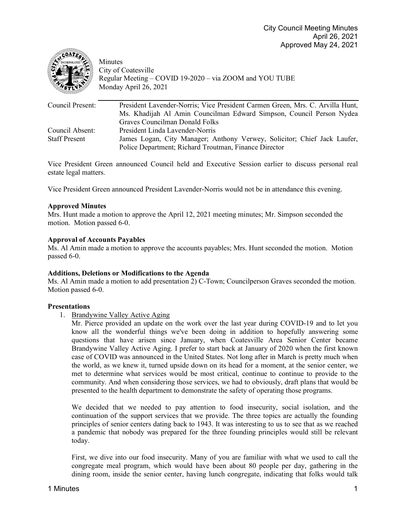

Minutes City of Coatesville Regular Meeting – COVID 19-2020 – via ZOOM and YOU TUBE Monday April 26, 2021

| Council Present:     | President Lavender-Norris; Vice President Carmen Green, Mrs. C. Arvilla Hunt,<br>Ms. Khadijah Al Amin Councilman Edward Simpson, Council Person Nydea |
|----------------------|-------------------------------------------------------------------------------------------------------------------------------------------------------|
|                      | Graves Councilman Donald Folks                                                                                                                        |
| Council Absent:      | President Linda Lavender-Norris                                                                                                                       |
| <b>Staff Present</b> | James Logan, City Manager; Anthony Verwey, Solicitor; Chief Jack Laufer,<br>Police Department; Richard Troutman, Finance Director                     |

Vice President Green announced Council held and Executive Session earlier to discuss personal real estate legal matters.

Vice President Green announced President Lavender-Norris would not be in attendance this evening.

# **Approved Minutes**

Mrs. Hunt made a motion to approve the April 12, 2021 meeting minutes; Mr. Simpson seconded the motion. Motion passed 6-0.

## **Approval of Accounts Payables**

Ms. Al Amin made a motion to approve the accounts payables; Mrs. Hunt seconded the motion. Motion passed 6-0.

### **Additions, Deletions or Modifications to the Agenda**

Ms. Al Amin made a motion to add presentation 2) C-Town; Councilperson Graves seconded the motion. Motion passed 6-0.

# **Presentations**

1. Brandywine Valley Active Aging

Mr. Pierce provided an update on the work over the last year during COVID-19 and to let you know all the wonderful things we've been doing in addition to hopefully answering some questions that have arisen since January, when Coatesville Area Senior Center became Brandywine Valley Active Aging. I prefer to start back at January of 2020 when the first known case of COVID was announced in the United States. Not long after in March is pretty much when the world, as we knew it, turned upside down on its head for a moment, at the senior center, we met to determine what services would be most critical, continue to continue to provide to the community. And when considering those services, we had to obviously, draft plans that would be presented to the health department to demonstrate the safety of operating those programs.

We decided that we needed to pay attention to food insecurity, social isolation, and the continuation of the support services that we provide. The three topics are actually the founding principles of senior centers dating back to 1943. It was interesting to us to see that as we reached a pandemic that nobody was prepared for the three founding principles would still be relevant today.

First, we dive into our food insecurity. Many of you are familiar with what we used to call the congregate meal program, which would have been about 80 people per day, gathering in the dining room, inside the senior center, having lunch congregate, indicating that folks would talk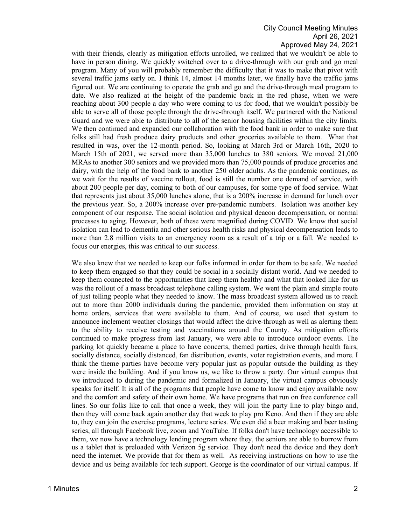with their friends, clearly as mitigation efforts unrolled, we realized that we wouldn't be able to have in person dining. We quickly switched over to a drive-through with our grab and go meal program. Many of you will probably remember the difficulty that it was to make that pivot with several traffic jams early on. I think 14, almost 14 months later, we finally have the traffic jams figured out. We are continuing to operate the grab and go and the drive-through meal program to date. We also realized at the height of the pandemic back in the red phase, when we were reaching about 300 people a day who were coming to us for food, that we wouldn't possibly be able to serve all of those people through the drive-through itself. We partnered with the National Guard and we were able to distribute to all of the senior housing facilities within the city limits. We then continued and expanded our collaboration with the food bank in order to make sure that folks still had fresh produce dairy products and other groceries available to them. What that resulted in was, over the 12-month period. So, looking at March 3rd or March 16th, 2020 to March 15th of 2021, we served more than 35,000 lunches to 380 seniors. We moved 21,000 MRAs to another 300 seniors and we provided more than 75,000 pounds of produce groceries and dairy, with the help of the food bank to another 250 older adults. As the pandemic continues, as we wait for the results of vaccine rollout, food is still the number one demand of service, with about 200 people per day, coming to both of our campuses, for some type of food service. What that represents just about 35,000 lunches alone, that is a 200% increase in demand for lunch over the previous year. So, a 200% increase over pre-pandemic numbers. Isolation was another key component of our response. The social isolation and physical deacon decompensation, or normal processes to aging. However, both of these were magnified during COVID. We know that social isolation can lead to dementia and other serious health risks and physical decompensation leads to more than 2.8 million visits to an emergency room as a result of a trip or a fall. We needed to focus our energies, this was critical to our success.

We also knew that we needed to keep our folks informed in order for them to be safe. We needed to keep them engaged so that they could be social in a socially distant world. And we needed to keep them connected to the opportunities that keep them healthy and what that looked like for us was the rollout of a mass broadcast telephone calling system. We went the plain and simple route of just telling people what they needed to know. The mass broadcast system allowed us to reach out to more than 2000 individuals during the pandemic, provided them information on stay at home orders, services that were available to them. And of course, we used that system to announce inclement weather closings that would affect the drive-through as well as alerting them to the ability to receive testing and vaccinations around the County. As mitigation efforts continued to make progress from last January, we were able to introduce outdoor events. The parking lot quickly became a place to have concerts, themed parties, drive through health fairs, socially distance, socially distanced, fan distribution, events, voter registration events, and more. I think the theme parties have become very popular just as popular outside the building as they were inside the building. And if you know us, we like to throw a party. Our virtual campus that we introduced to during the pandemic and formalized in January, the virtual campus obviously speaks for itself. It is all of the programs that people have come to know and enjoy available now and the comfort and safety of their own home. We have programs that run on free conference call lines. So our folks like to call that once a week, they will join the party line to play bingo and, then they will come back again another day that week to play pro Keno. And then if they are able to, they can join the exercise programs, lecture series. We even did a beer making and beer tasting series, all through Facebook live, zoom and YouTube. If folks don't have technology accessible to them, we now have a technology lending program where they, the seniors are able to borrow from us a tablet that is preloaded with Verizon 5g service. They don't need the device and they don't need the internet. We provide that for them as well. As receiving instructions on how to use the device and us being available for tech support. George is the coordinator of our virtual campus. If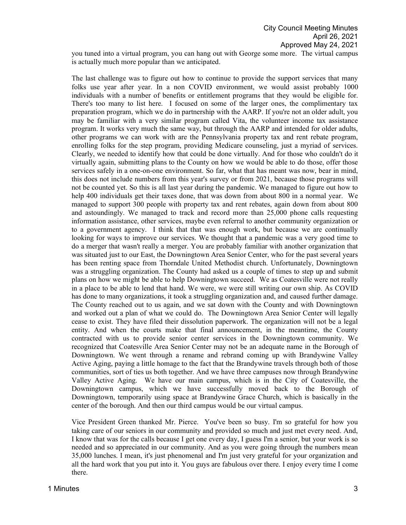you tuned into a virtual program, you can hang out with George some more. The virtual campus is actually much more popular than we anticipated.

The last challenge was to figure out how to continue to provide the support services that many folks use year after year. In a non COVID environment, we would assist probably 1000 individuals with a number of benefits or entitlement programs that they would be eligible for. There's too many to list here. I focused on some of the larger ones, the complimentary tax preparation program, which we do in partnership with the AARP. If you're not an older adult, you may be familiar with a very similar program called Vita, the volunteer income tax assistance program. It works very much the same way, but through the AARP and intended for older adults, other programs we can work with are the Pennsylvania property tax and rent rebate program, enrolling folks for the step program, providing Medicare counseling, just a myriad of services. Clearly, we needed to identify how that could be done virtually. And for those who couldn't do it virtually again, submitting plans to the County on how we would be able to do those, offer those services safely in a one-on-one environment. So far, what that has meant was now, bear in mind, this does not include numbers from this year's survey or from 2021, because those programs will not be counted yet. So this is all last year during the pandemic. We managed to figure out how to help 400 individuals get their taxes done, that was down from about 800 in a normal year. We managed to support 300 people with property tax and rent rebates, again down from about 800 and astoundingly. We managed to track and record more than 25,000 phone calls requesting information assistance, other services, maybe even referral to another community organization or to a government agency. I think that that was enough work, but because we are continually looking for ways to improve our services. We thought that a pandemic was a very good time to do a merger that wasn't really a merger. You are probably familiar with another organization that was situated just to our East, the Downingtown Area Senior Center, who for the past several years has been renting space from Thorndale United Methodist church. Unfortunately, Downingtown was a struggling organization. The County had asked us a couple of times to step up and submit plans on how we might be able to help Downingtown succeed. We as Coatesville were not really in a place to be able to lend that hand. We were, we were still writing our own ship. As COVID has done to many organizations, it took a struggling organization and, and caused further damage. The County reached out to us again, and we sat down with the County and with Downingtown and worked out a plan of what we could do. The Downingtown Area Senior Center will legally cease to exist. They have filed their dissolution paperwork. The organization will not be a legal entity. And when the courts make that final announcement, in the meantime, the County contracted with us to provide senior center services in the Downingtown community. We recognized that Coatesville Area Senior Center may not be an adequate name in the Borough of Downingtown. We went through a rename and rebrand coming up with Brandywine Valley Active Aging, paying a little homage to the fact that the Brandywine travels through both of those communities, sort of ties us both together. And we have three campuses now through Brandywine Valley Active Aging. We have our main campus, which is in the City of Coatesville, the Downingtown campus, which we have successfully moved back to the Borough of Downingtown, temporarily using space at Brandywine Grace Church, which is basically in the center of the borough. And then our third campus would be our virtual campus.

Vice President Green thanked Mr. Pierce. You've been so busy. I'm so grateful for how you taking care of our seniors in our community and provided so much and just met every need. And, I know that was for the calls because I get one every day, I guess I'm a senior, but your work is so needed and so appreciated in our community. And as you were going through the numbers mean 35,000 lunches. I mean, it's just phenomenal and I'm just very grateful for your organization and all the hard work that you put into it. You guys are fabulous over there. I enjoy every time I come there.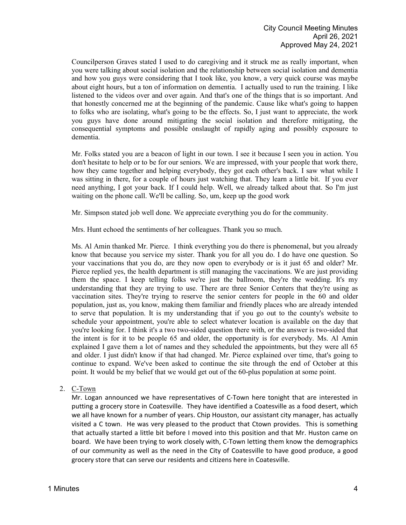Councilperson Graves stated I used to do caregiving and it struck me as really important, when you were talking about social isolation and the relationship between social isolation and dementia and how you guys were considering that I took like, you know, a very quick course was maybe about eight hours, but a ton of information on dementia. I actually used to run the training. I like listened to the videos over and over again. And that's one of the things that is so important. And that honestly concerned me at the beginning of the pandemic. Cause like what's going to happen to folks who are isolating, what's going to be the effects. So, I just want to appreciate, the work you guys have done around mitigating the social isolation and therefore mitigating, the consequential symptoms and possible onslaught of rapidly aging and possibly exposure to dementia.

Mr. Folks stated you are a beacon of light in our town. I see it because I seen you in action. You don't hesitate to help or to be for our seniors. We are impressed, with your people that work there, how they came together and helping everybody, they got each other's back. I saw what while I was sitting in there, for a couple of hours just watching that. They learn a little bit. If you ever need anything, I got your back. If I could help. Well, we already talked about that. So I'm just waiting on the phone call. We'll be calling. So, um, keep up the good work

Mr. Simpson stated job well done. We appreciate everything you do for the community.

Mrs. Hunt echoed the sentiments of her colleagues. Thank you so much.

Ms. Al Amin thanked Mr. Pierce. I think everything you do there is phenomenal, but you already know that because you service my sister. Thank you for all you do. I do have one question. So your vaccinations that you do, are they now open to everybody or is it just 65 and older? Mr. Pierce replied yes, the health department is still managing the vaccinations. We are just providing them the space. I keep telling folks we're just the ballroom, they're the wedding. It's my understanding that they are trying to use. There are three Senior Centers that they're using as vaccination sites. They're trying to reserve the senior centers for people in the 60 and older population, just as, you know, making them familiar and friendly places who are already intended to serve that population. It is my understanding that if you go out to the county's website to schedule your appointment, you're able to select whatever location is available on the day that you're looking for. I think it's a two two-sided question there with, or the answer is two-sided that the intent is for it to be people 65 and older, the opportunity is for everybody. Ms. Al Amin explained I gave them a lot of names and they scheduled the appointments, but they were all 65 and older. I just didn't know if that had changed. Mr. Pierce explained over time, that's going to continue to expand. We've been asked to continue the site through the end of October at this point. It would be my belief that we would get out of the 60-plus population at some point.

# 2. C-Town

Mr. Logan announced we have representatives of C-Town here tonight that are interested in putting a grocery store in Coatesville. They have identified a Coatesville as a food desert, which we all have known for a number of years. Chip Houston, our assistant city manager, has actually visited a C town. He was very pleased to the product that Ctown provides. This is something that actually started a little bit before I moved into this position and that Mr. Huston came on board. We have been trying to work closely with, C-Town letting them know the demographics of our community as well as the need in the City of Coatesville to have good produce, a good grocery store that can serve our residents and citizens here in Coatesville.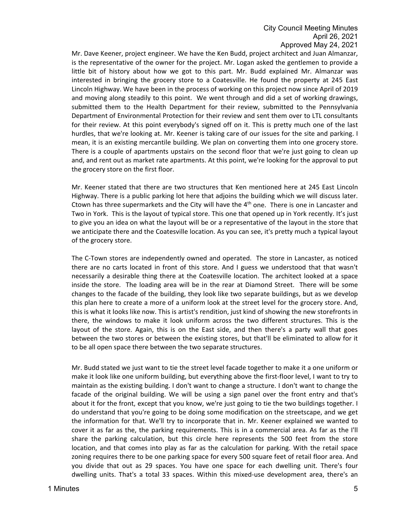Mr. Dave Keener, project engineer. We have the Ken Budd, project architect and Juan Almanzar, is the representative of the owner for the project. Mr. Logan asked the gentlemen to provide a little bit of history about how we got to this part. Mr. Budd explained Mr. Almanzar was interested in bringing the grocery store to a Coatesville. He found the property at 245 East Lincoln Highway. We have been in the process of working on this project now since April of 2019 and moving along steadily to this point. We went through and did a set of working drawings, submitted them to the Health Department for their review, submitted to the Pennsylvania Department of Environmental Protection for their review and sent them over to LTL consultants for their review. At this point everybody's signed off on it. This is pretty much one of the last hurdles, that we're looking at. Mr. Keener is taking care of our issues for the site and parking. I mean, it is an existing mercantile building. We plan on converting them into one grocery store. There is a couple of apartments upstairs on the second floor that we're just going to clean up and, and rent out as market rate apartments. At this point, we're looking for the approval to put the grocery store on the first floor.

Mr. Keener stated that there are two structures that Ken mentioned here at 245 East Lincoln Highway. There is a public parking lot here that adjoins the building which we will discuss later. Ctown has three supermarkets and the City will have the  $4<sup>th</sup>$  one. There is one in Lancaster and Two in York. This is the layout of typical store. This one that opened up in York recently. It's just to give you an idea on what the layout will be or a representative of the layout in the store that we anticipate there and the Coatesville location. As you can see, it's pretty much a typical layout of the grocery store.

The C-Town stores are independently owned and operated. The store in Lancaster, as noticed there are no carts located in front of this store. And I guess we understood that that wasn't necessarily a desirable thing there at the Coatesville location. The architect looked at a space inside the store. The loading area will be in the rear at Diamond Street. There will be some changes to the facade of the building, they look like two separate buildings, but as we develop this plan here to create a more of a uniform look at the street level for the grocery store. And, this is what it looks like now. This is artist's rendition, just kind of showing the new storefronts in there, the windows to make it look uniform across the two different structures. This is the layout of the store. Again, this is on the East side, and then there's a party wall that goes between the two stores or between the existing stores, but that'll be eliminated to allow for it to be all open space there between the two separate structures.

Mr. Budd stated we just want to tie the street level facade together to make it a one uniform or make it look like one uniform building, but everything above the first-floor level, I want to try to maintain as the existing building. I don't want to change a structure. I don't want to change the facade of the original building. We will be using a sign panel over the front entry and that's about it for the front, except that you know, we're just going to tie the two buildings together. I do understand that you're going to be doing some modification on the streetscape, and we get the information for that. We'll try to incorporate that in. Mr. Keener explained we wanted to cover it as far as the, the parking requirements. This is in a commercial area. As far as the I'll share the parking calculation, but this circle here represents the 500 feet from the store location, and that comes into play as far as the calculation for parking. With the retail space zoning requires there to be one parking space for every 500 square feet of retail floor area. And you divide that out as 29 spaces. You have one space for each dwelling unit. There's four dwelling units. That's a total 33 spaces. Within this mixed-use development area, there's an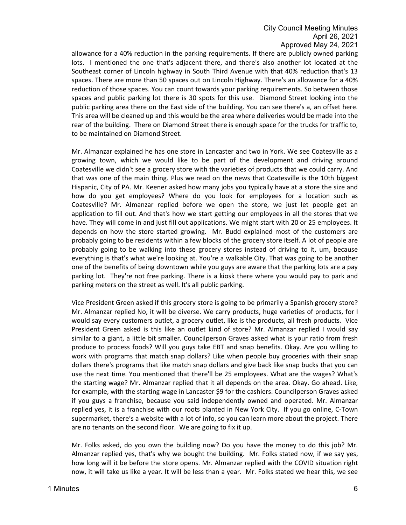allowance for a 40% reduction in the parking requirements. If there are publicly owned parking lots. I mentioned the one that's adjacent there, and there's also another lot located at the Southeast corner of Lincoln highway in South Third Avenue with that 40% reduction that's 13 spaces. There are more than 50 spaces out on Lincoln Highway. There's an allowance for a 40% reduction of those spaces. You can count towards your parking requirements. So between those spaces and public parking lot there is 30 spots for this use. Diamond Street looking into the public parking area there on the East side of the building. You can see there's a, an offset here. This area will be cleaned up and this would be the area where deliveries would be made into the rear of the building. There on Diamond Street there is enough space for the trucks for traffic to, to be maintained on Diamond Street.

Mr. Almanzar explained he has one store in Lancaster and two in York. We see Coatesville as a growing town, which we would like to be part of the development and driving around Coatesville we didn't see a grocery store with the varieties of products that we could carry. And that was one of the main thing. Plus we read on the news that Coatesville is the 10th biggest Hispanic, City of PA. Mr. Keener asked how many jobs you typically have at a store the size and how do you get employees? Where do you look for employees for a location such as Coatesville? Mr. Almanzar replied before we open the store, we just let people get an application to fill out. And that's how we start getting our employees in all the stores that we have. They will come in and just fill out applications. We might start with 20 or 25 employees. It depends on how the store started growing. Mr. Budd explained most of the customers are probably going to be residents within a few blocks of the grocery store itself. A lot of people are probably going to be walking into these grocery stores instead of driving to it, um, because everything is that's what we're looking at. You're a walkable City. That was going to be another one of the benefits of being downtown while you guys are aware that the parking lots are a pay parking lot. They're not free parking. There is a kiosk there where you would pay to park and parking meters on the street as well. It's all public parking.

Vice President Green asked if this grocery store is going to be primarily a Spanish grocery store? Mr. Almanzar replied No, it will be diverse. We carry products, huge varieties of products, for I would say every customers outlet, a grocery outlet, like is the products, all fresh products. Vice President Green asked is this like an outlet kind of store? Mr. Almanzar replied I would say similar to a giant, a little bit smaller. Councilperson Graves asked what is your ratio from fresh produce to process foods? Will you guys take EBT and snap benefits. Okay. Are you willing to work with programs that match snap dollars? Like when people buy groceries with their snap dollars there's programs that like match snap dollars and give back like snap bucks that you can use the next time. You mentioned that there'll be 25 employees. What are the wages? What's the starting wage? Mr. Almanzar replied that it all depends on the area. Okay. Go ahead. Like, for example, with the starting wage in Lancaster \$9 for the cashiers. Councilperson Graves asked if you guys a franchise, because you said independently owned and operated. Mr. Almanzar replied yes, it is a franchise with our roots planted in New York City. If you go online, C-Town supermarket, there's a website with a lot of info, so you can learn more about the project. There are no tenants on the second floor. We are going to fix it up.

Mr. Folks asked, do you own the building now? Do you have the money to do this job? Mr. Almanzar replied yes, that's why we bought the building. Mr. Folks stated now, if we say yes, how long will it be before the store opens. Mr. Almanzar replied with the COVID situation right now, it will take us like a year. It will be less than a year. Mr. Folks stated we hear this, we see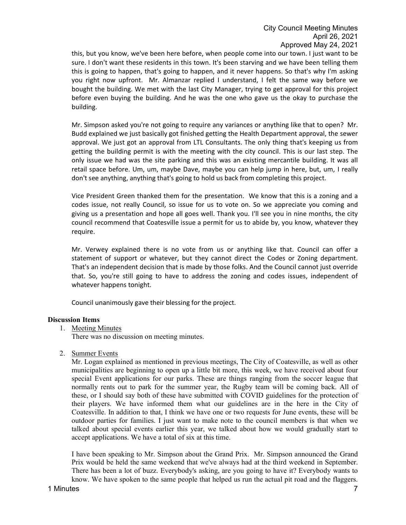this, but you know, we've been here before, when people come into our town. I just want to be sure. I don't want these residents in this town. It's been starving and we have been telling them this is going to happen, that's going to happen, and it never happens. So that's why I'm asking you right now upfront. Mr. Almanzar replied I understand, I felt the same way before we bought the building. We met with the last City Manager, trying to get approval for this project before even buying the building. And he was the one who gave us the okay to purchase the building.

Mr. Simpson asked you're not going to require any variances or anything like that to open? Mr. Budd explained we just basically got finished getting the Health Department approval, the sewer approval. We just got an approval from LTL Consultants. The only thing that's keeping us from getting the building permit is with the meeting with the city council. This is our last step. The only issue we had was the site parking and this was an existing mercantile building. It was all retail space before. Um, um, maybe Dave, maybe you can help jump in here, but, um, I really don't see anything, anything that's going to hold us back from completing this project.

Vice President Green thanked them for the presentation. We know that this is a zoning and a codes issue, not really Council, so issue for us to vote on. So we appreciate you coming and giving us a presentation and hope all goes well. Thank you. I'll see you in nine months, the city council recommend that Coatesville issue a permit for us to abide by, you know, whatever they require.

Mr. Verwey explained there is no vote from us or anything like that. Council can offer a statement of support or whatever, but they cannot direct the Codes or Zoning department. That's an independent decision that is made by those folks. And the Council cannot just override that. So, you're still going to have to address the zoning and codes issues, independent of whatever happens tonight.

Council unanimously gave their blessing for the project.

### **Discussion Items**

1. Meeting Minutes

There was no discussion on meeting minutes.

2. Summer Events

Mr. Logan explained as mentioned in previous meetings, The City of Coatesville, as well as other municipalities are beginning to open up a little bit more, this week, we have received about four special Event applications for our parks. These are things ranging from the soccer league that normally rents out to park for the summer year, the Rugby team will be coming back. All of these, or I should say both of these have submitted with COVID guidelines for the protection of their players. We have informed them what our guidelines are in the here in the City of Coatesville. In addition to that, I think we have one or two requests for June events, these will be outdoor parties for families. I just want to make note to the council members is that when we talked about special events earlier this year, we talked about how we would gradually start to accept applications. We have a total of six at this time.

I have been speaking to Mr. Simpson about the Grand Prix. Mr. Simpson announced the Grand Prix would be held the same weekend that we've always had at the third weekend in September. There has been a lot of buzz. Everybody's asking, are you going to have it? Everybody wants to know. We have spoken to the same people that helped us run the actual pit road and the flaggers.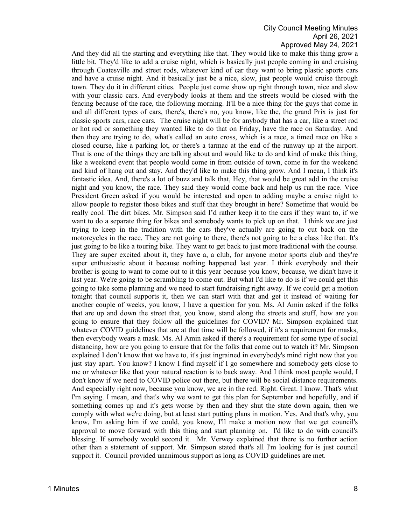And they did all the starting and everything like that. They would like to make this thing grow a little bit. They'd like to add a cruise night, which is basically just people coming in and cruising through Coatesville and street rods, whatever kind of car they want to bring plastic sports cars and have a cruise night. And it basically just be a nice, slow, just people would cruise through town. They do it in different cities. People just come show up right through town, nice and slow with your classic cars. And everybody looks at them and the streets would be closed with the fencing because of the race, the following morning. It'll be a nice thing for the guys that come in and all different types of cars, there's, there's no, you know, like the, the grand Prix is just for classic sports cars, race cars. The cruise night will be for anybody that has a car, like a street rod or hot rod or something they wanted like to do that on Friday, have the race on Saturday. And then they are trying to do, what's called an auto cross, which is a race, a timed race on like a closed course, like a parking lot, or there's a tarmac at the end of the runway up at the airport. That is one of the things they are talking about and would like to do and kind of make this thing, like a weekend event that people would come in from outside of town, come in for the weekend and kind of hang out and stay. And they'd like to make this thing grow. And I mean, I think it's fantastic idea. And, there's a lot of buzz and talk that, Hey, that would be great add in the cruise night and you know, the race. They said they would come back and help us run the race. Vice President Green asked if you would be interested and open to adding maybe a cruise night to allow people to register those bikes and stuff that they brought in here? Sometime that would be really cool. The dirt bikes. Mr. Simpson said I'd rather keep it to the cars if they want to, if we want to do a separate thing for bikes and somebody wants to pick up on that. I think we are just trying to keep in the tradition with the cars they've actually are going to cut back on the motorcycles in the race. They are not going to there, there's not going to be a class like that. It's just going to be like a touring bike. They want to get back to just more traditional with the course. They are super excited about it, they have a, a club, for anyone motor sports club and they're super enthusiastic about it because nothing happened last year. I think everybody and their brother is going to want to come out to it this year because you know, because, we didn't have it last year. We're going to be scrambling to come out. But what I'd like to do is if we could get this going to take some planning and we need to start fundraising right away. If we could get a motion tonight that council supports it, then we can start with that and get it instead of waiting for another couple of weeks, you know, I have a question for you. Ms. Al Amin asked if the folks that are up and down the street that, you know, stand along the streets and stuff, how are you going to ensure that they follow all the guidelines for COVID? Mr. Simpson explained that whatever COVID guidelines that are at that time will be followed, if it's a requirement for masks, then everybody wears a mask. Ms. Al Amin asked if there's a requirement for some type of social distancing, how are you going to ensure that for the folks that come out to watch it? Mr. Simpson explained I don't know that we have to, it's just ingrained in everybody's mind right now that you just stay apart. You know? I know I find myself if I go somewhere and somebody gets close to me or whatever like that your natural reaction is to back away. And I think most people would, I don't know if we need to COVID police out there, but there will be social distance requirements. And especially right now, because you know, we are in the red. Right. Great. I know. That's what I'm saying. I mean, and that's why we want to get this plan for September and hopefully, and if something comes up and it's gets worse by then and they shut the state down again, then we comply with what we're doing, but at least start putting plans in motion. Yes. And that's why, you know, I'm asking him if we could, you know, I'll make a motion now that we get council's approval to move forward with this thing and start planning on. I'd like to do with council's blessing. If somebody would second it. Mr. Verwey explained that there is no further action other than a statement of support. Mr. Simpson stated that's all I'm looking for is just council support it. Council provided unanimous support as long as COVID guidelines are met.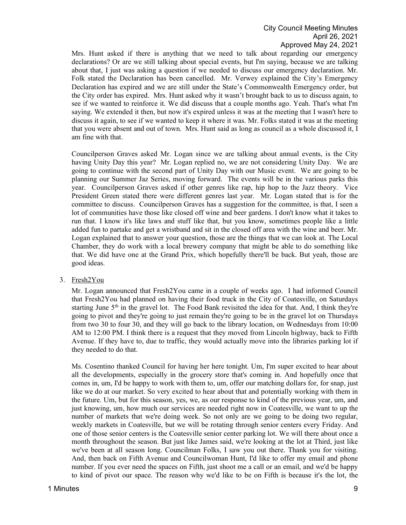Mrs. Hunt asked if there is anything that we need to talk about regarding our emergency declarations? Or are we still talking about special events, but I'm saying, because we are talking about that, I just was asking a question if we needed to discuss our emergency declaration. Mr. Folk stated the Declaration has been cancelled. Mr. Verwey explained the City's Emergency Declaration has expired and we are still under the State's Commonwealth Emergency order, but the City order has expired. Mrs. Hunt asked why it wasn't brought back to us to discuss again, to see if we wanted to reinforce it. We did discuss that a couple months ago. Yeah. That's what I'm saying. We extended it then, but now it's expired unless it was at the meeting that I wasn't here to discuss it again, to see if we wanted to keep it where it was. Mr. Folks stated it was at the meeting that you were absent and out of town. Mrs. Hunt said as long as council as a whole discussed it, I am fine with that.

Councilperson Graves asked Mr. Logan since we are talking about annual events, is the City having Unity Day this year? Mr. Logan replied no, we are not considering Unity Day. We are going to continue with the second part of Unity Day with our Music event. We are going to be planning our Summer Jaz Series, moving forward. The events will be in the various parks this year. Councilperson Graves asked if other genres like rap, hip hop to the Jazz theory. Vice President Green stated there were different genres last year. Mr. Logan stated that is for the committee to discuss. Councilperson Graves has a suggestion for the committee, is that, I seen a lot of communities have those like closed off wine and beer gardens. I don't know what it takes to run that. I know it's like laws and stuff like that, but you know, sometimes people like a little added fun to partake and get a wristband and sit in the closed off area with the wine and beer. Mr. Logan explained that to answer your question, those are the things that we can look at. The Local Chamber, they do work with a local brewery company that might be able to do something like that. We did have one at the Grand Prix, which hopefully there'll be back. But yeah, those are good ideas.

### 3. Fresh2You

Mr. Logan announced that Fresh2You came in a couple of weeks ago. I had informed Council that Fresh2You had planned on having their food truck in the City of Coatesville, on Saturdays starting June  $5<sup>th</sup>$  in the gravel lot. The Food Bank revisited the idea for that. And, I think they're going to pivot and they're going to just remain they're going to be in the gravel lot on Thursdays from two 30 to four 30, and they will go back to the library location, on Wednesdays from 10:00 AM to 12:00 PM. I think there is a request that they moved from Lincoln highway, back to Fifth Avenue. If they have to, due to traffic, they would actually move into the libraries parking lot if they needed to do that.

Ms. Cosentino thanked Council for having her here tonight. Um, I'm super excited to hear about all the developments, especially in the grocery store that's coming in. And hopefully once that comes in, um, I'd be happy to work with them to, um, offer our matching dollars for, for snap, just like we do at our market. So very excited to hear about that and potentially working with them in the future. Um, but for this season, yes, we, as our response to kind of the previous year, um, and just knowing, um, how much our services are needed right now in Coatesville, we want to up the number of markets that we're doing week. So not only are we going to be doing two regular, weekly markets in Coatesville, but we will be rotating through senior centers every Friday. And one of those senior centers is the Coatesville senior center parking lot. We will there about once a month throughout the season. But just like James said, we're looking at the lot at Third, just like we've been at all season long. Councilman Folks, I saw you out there. Thank you for visiting. And, then back on Fifth Avenue and Councilwoman Hunt, I'd like to offer my email and phone number. If you ever need the spaces on Fifth, just shoot me a call or an email, and we'd be happy to kind of pivot our space. The reason why we'd like to be on Fifth is because it's the lot, the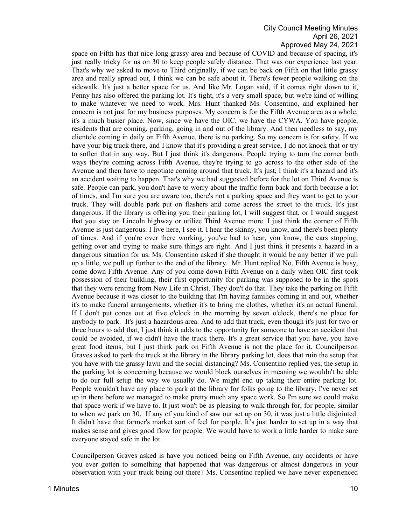space on Fifth has that nice long grassy area and because of COVID and because of spacing, it's just really tricky for us on 30 to keep people safely distance. That was our experience last year. That's why we asked to move to Third originally, if we can be back on Fifth on that little grassy area and really spread out, I think we can be safe about it. There's fewer people walking on the sidewalk. It's just a better space for us. And like Mr. Logan said, if it comes right down to it, Penny has also offered the parking lot. It's tight, it's a very small space, but we're kind of willing to make whatever we need to work. Mrs. Hunt thanked Ms. Consentino, and explained her concern is not just for my business purposes. My concern is for the Fifth Avenue area as a whole, it's a much busier place. Now, since we have the OIC, we have the CYWA. You have people, residents that are coming, parking, going in and out of the library. And then needless to say, my clientele coming in daily on Fifth Avenue, there is no parking. So my concern is for safety. If we have your big truck there, and I know that it's providing a great service, I do not knock that or try to soften that in any way. But I just think it's dangerous. People trying to turn the corner both ways they're coming across Fifth Avenue, they're trying to go across to the other side of the Avenue and then have to negotiate coming around that truck. It's just, I think it's a hazard and it's an accident waiting to happen. That's why we had suggested before for the lot on Third Avenue is safe. People can park, you don't have to worry about the traffic form back and forth because a lot of times, and I'm sure you are aware too, there's not a parking space and they want to get to your truck. They will double park put on flashers and come across the street to the truck. It's just dangerous. If the library is offering you their parking lot, I will suggest that, or I would suggest that you stay on Lincoln highway or utilize Third Avenue more. I just think the corner of Fifth Avenue is just dangerous. I live here, I see it. I hear the skinny, you know, and there's been plenty of times. And if you're over there working, you've had to hear, you know, the cars stopping, getting over and trying to make sure things are right. And I just think it presents a hazard in a dangerous situation for us. Ms. Consentino asked if she thought it would be any better if we pull up a little, we pull up further to the end of the library. Mr. Hunt replied No, Fifth Avenue is busy, come down Fifth Avenue. Any of you come down Fifth Avenue on a daily when OIC first took possession of their building, their first opportunity for parking was supposed to be in the spots that they were renting from New Life in Christ. They don't do that. They take the parking on Fifth Avenue because it was closer to the building that I'm having families coming in and out, whether it's to make funeral arrangements, whether it's to bring me clothes, whether it's an actual funeral. If I don't put cones out at five o'clock in the morning by seven o'clock, there's no place for anybody to park. It's just a hazardous area. And to add that truck, even though it's just for two or three hours to add that, I just think it adds to the opportunity for someone to have an accident that could be avoided, if we didn't have the truck there. It's a great service that you have, you have great food items, but I just think park on Fifth Avenue is not the place for it. Councilperson Graves asked to park the truck at the library in the library parking lot, does that ruin the setup that you have with the grassy lawn and the social distancing? Ms. Consentino replied yes, the setup in the parking lot is concerning because we would block ourselves in meaning we wouldn't be able to do our full setup the way we usually do. We might end up taking their entire parking lot. People wouldn't have any place to park at the library for folks going to the library. I've never set up in there before we managed to make pretty much any space work. So I'm sure we could make that space work if we have to. It just won't be as pleasing to walk through for, for people, similar to when we park on 30. If any of you kind of saw our set up on 30, it was just a little disjointed. It didn't have that farmer's market sort of feel for people. It's just harder to set up in a way that makes sense and gives good flow for people. We would have to work a little harder to make sure everyone stayed safe in the lot.

Councilperson Graves asked is have you noticed being on Fifth Avenue, any accidents or have you ever gotten to something that happened that was dangerous or almost dangerous in your observation with your truck being out there? Ms. Consentino replied we have never experienced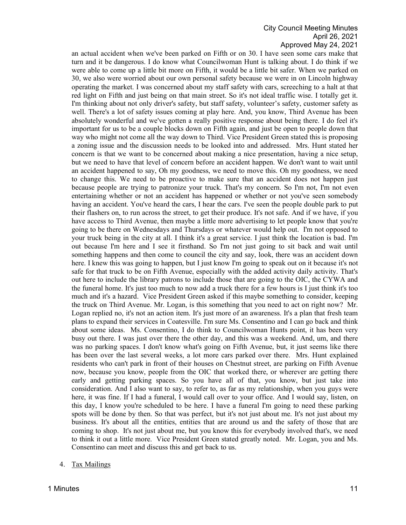an actual accident when we've been parked on Fifth or on 30. I have seen some cars make that turn and it be dangerous. I do know what Councilwoman Hunt is talking about. I do think if we were able to come up a little bit more on Fifth, it would be a little bit safer. When we parked on 30, we also were worried about our own personal safety because we were in on Lincoln highway operating the market. I was concerned about my staff safety with cars, screeching to a halt at that red light on Fifth and just being on that main street. So it's not ideal traffic wise. I totally get it. I'm thinking about not only driver's safety, but staff safety, volunteer's safety, customer safety as well. There's a lot of safety issues coming at play here. And, you know, Third Avenue has been absolutely wonderful and we've gotten a really positive response about being there. I do feel it's important for us to be a couple blocks down on Fifth again, and just be open to people down that way who might not come all the way down to Third. Vice President Green stated this is proposing a zoning issue and the discussion needs to be looked into and addressed. Mrs. Hunt stated her concern is that we want to be concerned about making a nice presentation, having a nice setup, but we need to have that level of concern before an accident happen. We don't want to wait until an accident happened to say, Oh my goodness, we need to move this. Oh my goodness, we need to change this. We need to be proactive to make sure that an accident does not happen just because people are trying to patronize your truck. That's my concern. So I'm not, I'm not even entertaining whether or not an accident has happened or whether or not you've seen somebody having an accident. You've heard the cars, I hear the cars. I've seen the people double park to put their flashers on, to run across the street, to get their produce. It's not safe. And if we have, if you have access to Third Avenue, then maybe a little more advertising to let people know that you're going to be there on Wednesdays and Thursdays or whatever would help out. I'm not opposed to your truck being in the city at all. I think it's a great service. I just think the location is bad. I'm out because I'm here and I see it firsthand. So I'm not just going to sit back and wait until something happens and then come to council the city and say, look, there was an accident down here. I knew this was going to happen, but I just know I'm going to speak out on it because it's not safe for that truck to be on Fifth Avenue, especially with the added activity daily activity. That's out here to include the library patrons to include those that are going to the OIC, the CYWA and the funeral home. It's just too much to now add a truck there for a few hours is I just think it's too much and it's a hazard. Vice President Green asked if this maybe something to consider, keeping the truck on Third Avenue. Mr. Logan, is this something that you need to act on right now? Mr. Logan replied no, it's not an action item. It's just more of an awareness. It's a plan that fresh team plans to expand their services in Coatesville. I'm sure Ms. Consentino and I can go back and think about some ideas. Ms. Consentino, I do think to Councilwoman Hunts point, it has been very busy out there. I was just over there the other day, and this was a weekend. And, um, and there was no parking spaces. I don't know what's going on Fifth Avenue, but, it just seems like there has been over the last several weeks, a lot more cars parked over there. Mrs. Hunt explained residents who can't park in front of their houses on Chestnut street, are parking on Fifth Avenue now, because you know, people from the OIC that worked there, or wherever are getting there early and getting parking spaces. So you have all of that, you know, but just take into consideration. And I also want to say, to refer to, as far as my relationship, when you guys were here, it was fine. If I had a funeral, I would call over to your office. And I would say, listen, on this day, I know you're scheduled to be here. I have a funeral I'm going to need these parking spots will be done by then. So that was perfect, but it's not just about me. It's not just about my business. It's about all the entities, entities that are around us and the safety of those that are coming to shop. It's not just about me, but you know this for everybody involved that's, we need to think it out a little more. Vice President Green stated greatly noted. Mr. Logan, you and Ms. Consentino can meet and discuss this and get back to us.

4. Tax Mailings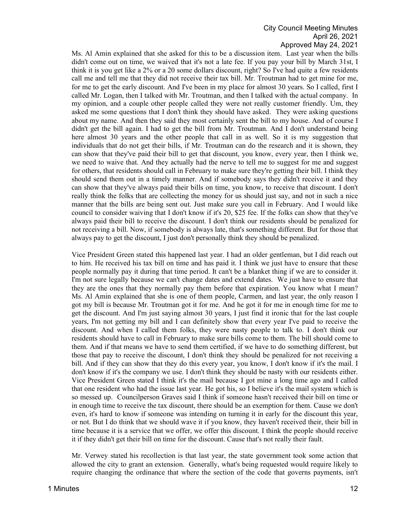Ms. Al Amin explained that she asked for this to be a discussion item. Last year when the bills didn't come out on time, we waived that it's not a late fee. If you pay your bill by March 31st, I think it is you get like a 2% or a 20 some dollars discount, right? So I've had quite a few residents call me and tell me that they did not receive their tax bill. Mr. Troutman had to get mine for me, for me to get the early discount. And I've been in my place for almost 30 years. So I called, first I called Mr. Logan, then I talked with Mr. Troutman, and then I talked with the actual company. In my opinion, and a couple other people called they were not really customer friendly. Um, they asked me some questions that I don't think they should have asked. They were asking questions about my name. And then they said they most certainly sent the bill to my house. And of course I didn't get the bill again. I had to get the bill from Mr. Troutman. And I don't understand being here almost 30 years and the other people that call in as well. So it is my suggestion that individuals that do not get their bills, if Mr. Troutman can do the research and it is shown, they can show that they've paid their bill to get that discount, you know, every year, then I think we, we need to waive that. And they actually had the nerve to tell me to suggest for me and suggest for others, that residents should call in February to make sure they're getting their bill. I think they should send them out in a timely manner. And if somebody says they didn't receive it and they can show that they've always paid their bills on time, you know, to receive that discount. I don't really think the folks that are collecting the money for us should just say, and not in such a nice manner that the bills are being sent out. Just make sure you call in February. And I would like council to consider waiving that I don't know if it's 20, \$25 fee. If the folks can show that they've always paid their bill to receive the discount. I don't think our residents should be penalized for not receiving a bill. Now, if somebody is always late, that's something different. But for those that always pay to get the discount, I just don't personally think they should be penalized.

Vice President Green stated this happened last year. I had an older gentleman, but I did reach out to him. He received his tax bill on time and has paid it. I think we just have to ensure that these people normally pay it during that time period. It can't be a blanket thing if we are to consider it. I'm not sure legally because we can't change dates and extend dates. We just have to ensure that they are the ones that they normally pay them before that expiration. You know what I mean? Ms. Al Amin explained that she is one of them people, Carmen, and last year, the only reason I got my bill is because Mr. Troutman got it for me. And he got it for me in enough time for me to get the discount. And I'm just saying almost 30 years, I just find it ironic that for the last couple years, I'm not getting my bill and I can definitely show that every year I've paid to receive the discount. And when I called them folks, they were nasty people to talk to. I don't think our residents should have to call in February to make sure bills come to them. The bill should come to them. And if that means we have to send them certified, if we have to do something different, but those that pay to receive the discount, I don't think they should be penalized for not receiving a bill. And if they can show that they do this every year, you know, I don't know if it's the mail. I don't know if it's the company we use. I don't think they should be nasty with our residents either. Vice President Green stated I think it's the mail because I got mine a long time ago and I called that one resident who had the issue last year. He got his, so I believe it's the mail system which is so messed up. Councilperson Graves said I think if someone hasn't received their bill on time or in enough time to receive the tax discount, there should be an exemption for them. Cause we don't even, it's hard to know if someone was intending on turning it in early for the discount this year, or not. But I do think that we should wave it if you know, they haven't received their, their bill in time because it is a service that we offer, we offer this discount. I think the people should receive it if they didn't get their bill on time for the discount. Cause that's not really their fault.

Mr. Verwey stated his recollection is that last year, the state government took some action that allowed the city to grant an extension. Generally, what's being requested would require likely to require changing the ordinance that where the section of the code that governs payments, isn't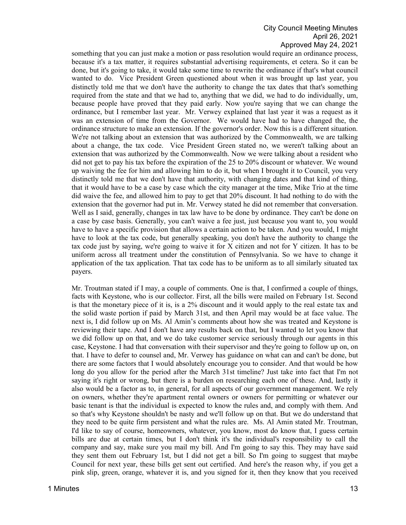something that you can just make a motion or pass resolution would require an ordinance process, because it's a tax matter, it requires substantial advertising requirements, et cetera. So it can be done, but it's going to take, it would take some time to rewrite the ordinance if that's what council wanted to do. Vice President Green questioned about when it was brought up last year, you distinctly told me that we don't have the authority to change the tax dates that that's something required from the state and that we had to, anything that we did, we had to do individually, um, because people have proved that they paid early. Now you're saying that we can change the ordinance, but I remember last year. Mr. Verwey explained that last year it was a request as it was an extension of time from the Governor. We would have had to have changed the, the ordinance structure to make an extension. If the governor's order. Now this is a different situation. We're not talking about an extension that was authorized by the Commonwealth, we are talking about a change, the tax code. Vice President Green stated no, we weren't talking about an extension that was authorized by the Commonwealth. Now we were talking about a resident who did not get to pay his tax before the expiration of the 25 to 20% discount or whatever. We wound up waiving the fee for him and allowing him to do it, but when I brought it to Council, you very distinctly told me that we don't have that authority, with changing dates and that kind of thing, that it would have to be a case by case which the city manager at the time, Mike Trio at the time did waive the fee, and allowed him to pay to get that 20% discount. It had nothing to do with the extension that the governor had put in. Mr. Verwey stated he did not remember that conversation. Well as I said, generally, changes in tax law have to be done by ordinance. They can't be done on a case by case basis. Generally, you can't waive a fee just, just because you want to, you would have to have a specific provision that allows a certain action to be taken. And you would, I might have to look at the tax code, but generally speaking, you don't have the authority to change the tax code just by saying, we're going to waive it for X citizen and not for Y citizen. It has to be uniform across all treatment under the constitution of Pennsylvania. So we have to change it application of the tax application. That tax code has to be uniform as to all similarly situated tax payers.

Mr. Troutman stated if I may, a couple of comments. One is that, I confirmed a couple of things, facts with Keystone, who is our collector. First, all the bills were mailed on February 1st. Second is that the monetary piece of it is, is a 2% discount and it would apply to the real estate tax and the solid waste portion if paid by March 31st, and then April may would be at face value. The next is, I did follow up on Ms. Al Amin's comments about how she was treated and Keystone is reviewing their tape. And I don't have any results back on that, but I wanted to let you know that we did follow up on that, and we do take customer service seriously through our agents in this case, Keystone. I had that conversation with their supervisor and they're going to follow up on, on that. I have to defer to counsel and, Mr. Verwey has guidance on what can and can't be done, but there are some factors that I would absolutely encourage you to consider. And that would be how long do you allow for the period after the March 31st timeline? Just take into fact that I'm not saying it's right or wrong, but there is a burden on researching each one of these. And, lastly it also would be a factor as to, in general, for all aspects of our government management. We rely on owners, whether they're apartment rental owners or owners for permitting or whatever our basic tenant is that the individual is expected to know the rules and, and comply with them. And so that's why Keystone shouldn't be nasty and we'll follow up on that. But we do understand that they need to be quite firm persistent and what the rules are. Ms. Al Amin stated Mr. Troutman, I'd like to say of course, homeowners, whatever, you know, most do know that, I guess certain bills are due at certain times, but I don't think it's the individual's responsibility to call the company and say, make sure you mail my bill. And I'm going to say this. They may have said they sent them out February 1st, but I did not get a bill. So I'm going to suggest that maybe Council for next year, these bills get sent out certified. And here's the reason why, if you get a pink slip, green, orange, whatever it is, and you signed for it, then they know that you received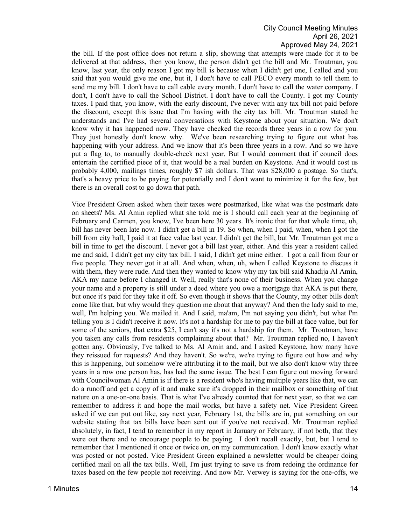the bill. If the post office does not return a slip, showing that attempts were made for it to be delivered at that address, then you know, the person didn't get the bill and Mr. Troutman, you know, last year, the only reason I got my bill is because when I didn't get one, I called and you said that you would give me one, but it, I don't have to call PECO every month to tell them to send me my bill. I don't have to call cable every month. I don't have to call the water company. I don't, I don't have to call the School District. I don't have to call the County. I got my County taxes. I paid that, you know, with the early discount, I've never with any tax bill not paid before the discount, except this issue that I'm having with the city tax bill. Mr. Troutman stated he understands and I've had several conversations with Keystone about your situation. We don't know why it has happened now. They have checked the records three years in a row for you. They just honestly don't know why. We've been researching trying to figure out what has happening with your address. And we know that it's been three years in a row. And so we have put a flag to, to manually double-check next year. But I would comment that if council does entertain the certified piece of it, that would be a real burden on Keystone. And it would cost us probably 4,000, mailings times, roughly \$7 ish dollars. That was \$28,000 a postage. So that's, that's a heavy price to be paying for potentially and I don't want to minimize it for the few, but there is an overall cost to go down that path.

Vice President Green asked when their taxes were postmarked, like what was the postmark date on sheets? Ms. Al Amin replied what she told me is I should call each year at the beginning of February and Carmen, you know, I've been here 30 years. It's ironic that for that whole time, uh, bill has never been late now. I didn't get a bill in 19. So when, when I paid, when, when I got the bill from city hall, I paid it at face value last year. I didn't get the bill, but Mr. Troutman got me a bill in time to get the discount. I never got a bill last year, either. And this year a resident called me and said, I didn't get my city tax bill. I said, I didn't get mine either. I got a call from four or five people. They never got it at all. And when, when, uh, when I called Keystone to discuss it with them, they were rude. And then they wanted to know why my tax bill said Khadija Al Amin, AKA my name before I changed it. Well, really that's none of their business. When you change your name and a property is still under a deed where you owe a mortgage that AKA is put there, but once it's paid for they take it off. So even though it shows that the County, my other bills don't come like that, but why would they question me about that anyway? And then the lady said to me, well, I'm helping you. We mailed it. And I said, ma'am, I'm not saying you didn't, but what I'm telling you is I didn't receive it now. It's not a hardship for me to pay the bill at face value, but for some of the seniors, that extra \$25, I can't say it's not a hardship for them. Mr. Troutman, have you taken any calls from residents complaining about that? Mr. Troutman replied no, I haven't gotten any. Obviously, I've talked to Ms. Al Amin and, and I asked Keystone, how many have they reissued for requests? And they haven't. So we're, we're trying to figure out how and why this is happening, but somehow we're attributing it to the mail, but we also don't know why three years in a row one person has, has had the same issue. The best I can figure out moving forward with Councilwoman Al Amin is if there is a resident who's having multiple years like that, we can do a runoff and get a copy of it and make sure it's dropped in their mailbox or something of that nature on a one-on-one basis. That is what I've already counted that for next year, so that we can remember to address it and hope the mail works, but have a safety net. Vice President Green asked if we can put out like, say next year, February 1st, the bills are in, put something on our website stating that tax bills have been sent out if you've not received. Mr. Troutman replied absolutely, in fact, I tend to remember in my report in January or February, if not both, that they were out there and to encourage people to be paying. I don't recall exactly, but, but I tend to remember that I mentioned it once or twice on, on my communication. I don't know exactly what was posted or not posted. Vice President Green explained a newsletter would be cheaper doing certified mail on all the tax bills. Well, I'm just trying to save us from redoing the ordinance for taxes based on the few people not receiving. And now Mr. Verwey is saying for the one-offs, we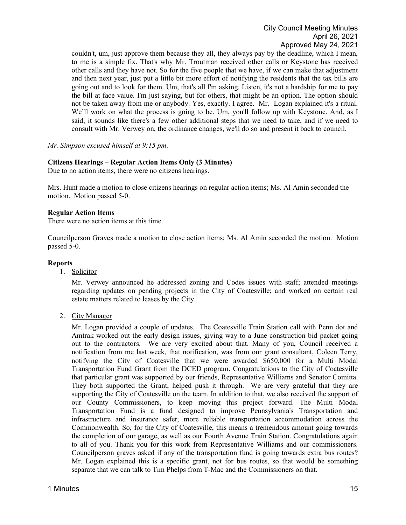couldn't, um, just approve them because they all, they always pay by the deadline, which I mean, to me is a simple fix. That's why Mr. Troutman received other calls or Keystone has received other calls and they have not. So for the five people that we have, if we can make that adjustment and then next year, just put a little bit more effort of notifying the residents that the tax bills are going out and to look for them. Um, that's all I'm asking. Listen, it's not a hardship for me to pay the bill at face value. I'm just saying, but for others, that might be an option. The option should not be taken away from me or anybody. Yes, exactly. I agree. Mr. Logan explained it's a ritual. We'll work on what the process is going to be. Um, you'll follow up with Keystone. And, as I said, it sounds like there's a few other additional steps that we need to take, and if we need to consult with Mr. Verwey on, the ordinance changes, we'll do so and present it back to council.

*Mr. Simpson excused himself at 9:15 pm*.

### **Citizens Hearings – Regular Action Items Only (3 Minutes)**

Due to no action items, there were no citizens hearings.

Mrs. Hunt made a motion to close citizens hearings on regular action items; Ms. Al Amin seconded the motion. Motion passed 5-0.

#### **Regular Action Items**

There were no action items at this time.

Councilperson Graves made a motion to close action items; Ms. Al Amin seconded the motion. Motion passed 5-0.

#### **Reports**

1. Solicitor

Mr. Verwey announced he addressed zoning and Codes issues with staff; attended meetings regarding updates on pending projects in the City of Coatesville; and worked on certain real estate matters related to leases by the City.

2. City Manager

Mr. Logan provided a couple of updates. The Coatesville Train Station call with Penn dot and Amtrak worked out the early design issues, giving way to a June construction bid packet going out to the contractors. We are very excited about that. Many of you, Council received a notification from me last week, that notification, was from our grant consultant, Coleen Terry, notifying the City of Coatesville that we were awarded \$650,000 for a Multi Modal Transportation Fund Grant from the DCED program. Congratulations to the City of Coatesville that particular grant was supported by our friends, Representative Williams and Senator Comitta. They both supported the Grant, helped push it through. We are very grateful that they are supporting the City of Coatesville on the team. In addition to that, we also received the support of our County Commissioners, to keep moving this project forward. The Multi Modal Transportation Fund is a fund designed to improve Pennsylvania's Transportation and infrastructure and insurance safer, more reliable transportation accommodation across the Commonwealth. So, for the City of Coatesville, this means a tremendous amount going towards the completion of our garage, as well as our Fourth Avenue Train Station. Congratulations again to all of you. Thank you for this work from Representative Williams and our commissioners. Councilperson graves asked if any of the transportation fund is going towards extra bus routes? Mr. Logan explained this is a specific grant, not for bus routes, so that would be something separate that we can talk to Tim Phelps from T-Mac and the Commissioners on that.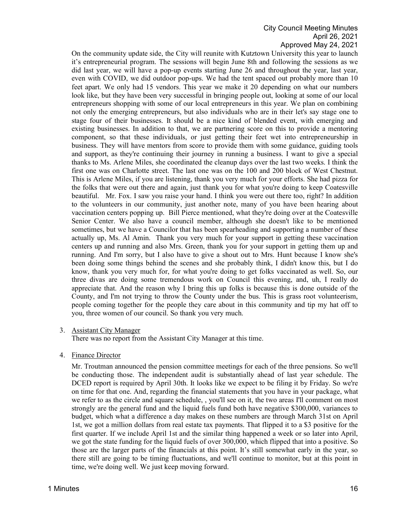On the community update side, the City will reunite with Kutztown University this year to launch it's entrepreneurial program. The sessions will begin June 8th and following the sessions as we did last year, we will have a pop-up events starting June 26 and throughout the year, last year, even with COVID, we did outdoor pop-ups. We had the tent spaced out probably more than 10 feet apart. We only had 15 vendors. This year we make it 20 depending on what our numbers look like, but they have been very successful in bringing people out, looking at some of our local entrepreneurs shopping with some of our local entrepreneurs in this year. We plan on combining not only the emerging entrepreneurs, but also individuals who are in their let's say stage one to stage four of their businesses. It should be a nice kind of blended event, with emerging and existing businesses. In addition to that, we are partnering score on this to provide a mentoring component, so that these individuals, or just getting their feet wet into entrepreneurship in business. They will have mentors from score to provide them with some guidance, guiding tools and support, as they're continuing their journey in running a business. I want to give a special thanks to Ms. Arlene Miles, she coordinated the cleanup days over the last two weeks. I think the first one was on Charlotte street. The last one was on the 100 and 200 block of West Chestnut. This is Arlene Miles, if you are listening, thank you very much for your efforts. She had pizza for the folks that were out there and again, just thank you for what you're doing to keep Coatesville beautiful. Mr. Fox. I saw you raise your hand. I think you were out there too, right? In addition to the volunteers in our community, just another note, many of you have been hearing about vaccination centers popping up. Bill Pierce mentioned, what they're doing over at the Coatesville Senior Center. We also have a council member, although she doesn't like to be mentioned sometimes, but we have a Councilor that has been spearheading and supporting a number of these actually up, Ms. Al Amin. Thank you very much for your support in getting these vaccination centers up and running and also Mrs. Green, thank you for your support in getting them up and running. And I'm sorry, but I also have to give a shout out to Mrs. Hunt because I know she's been doing some things behind the scenes and she probably think, I didn't know this, but I do know, thank you very much for, for what you're doing to get folks vaccinated as well. So, our three divas are doing some tremendous work on Council this evening, and, uh, I really do appreciate that. And the reason why I bring this up folks is because this is done outside of the County, and I'm not trying to throw the County under the bus. This is grass root volunteerism, people coming together for the people they care about in this community and tip my hat off to you, three women of our council. So thank you very much.

### 3. Assistant City Manager

There was no report from the Assistant City Manager at this time.

### 4. Finance Director

Mr. Troutman announced the pension committee meetings for each of the three pensions. So we'll be conducting those. The independent audit is substantially ahead of last year schedule. The DCED report is required by April 30th. It looks like we expect to be filing it by Friday. So we're on time for that one. And, regarding the financial statements that you have in your package, what we refer to as the circle and square schedule, , you'll see on it, the two areas I'll comment on most strongly are the general fund and the liquid fuels fund both have negative \$300,000, variances to budget, which what a difference a day makes on these numbers are through March 31st on April 1st, we got a million dollars from real estate tax payments. That flipped it to a \$3 positive for the first quarter. If we include April 1st and the similar thing happened a week or so later into April, we got the state funding for the liquid fuels of over 300,000, which flipped that into a positive. So those are the larger parts of the financials at this point. It's still somewhat early in the year, so there still are going to be timing fluctuations, and we'll continue to monitor, but at this point in time, we're doing well. We just keep moving forward.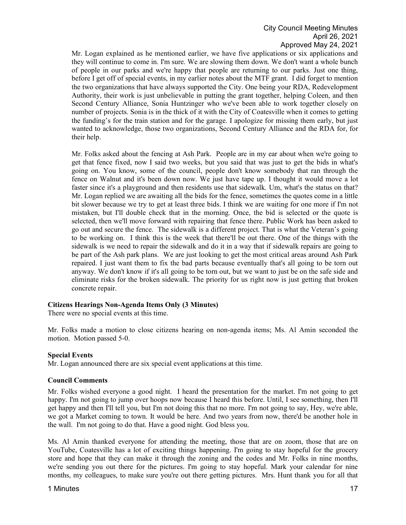Mr. Logan explained as he mentioned earlier, we have five applications or six applications and they will continue to come in. I'm sure. We are slowing them down. We don't want a whole bunch of people in our parks and we're happy that people are returning to our parks. Just one thing, before I get off of special events, in my earlier notes about the MTF grant. I did forget to mention the two organizations that have always supported the City. One being your RDA, Redevelopment Authority, their work is just unbelievable in putting the grant together, helping Coleen, and then Second Century Alliance, Sonia Huntzinger who we've been able to work together closely on number of projects. Sonia is in the thick of it with the City of Coatesville when it comes to getting the funding's for the train station and for the garage. I apologize for missing them early, but just wanted to acknowledge, those two organizations, Second Century Alliance and the RDA for, for their help.

Mr. Folks asked about the fencing at Ash Park. People are in my ear about when we're going to get that fence fixed, now I said two weeks, but you said that was just to get the bids in what's going on. You know, some of the council, people don't know somebody that ran through the fence on Walnut and it's been down now. We just have tape up. I thought it would move a lot faster since it's a playground and then residents use that sidewalk. Um, what's the status on that? Mr. Logan replied we are awaiting all the bids for the fence, sometimes the quotes come in a little bit slower because we try to get at least three bids. I think we are waiting for one more if I'm not mistaken, but I'll double check that in the morning. Once, the bid is selected or the quote is selected, then we'll move forward with repairing that fence there. Public Work has been asked to go out and secure the fence. The sidewalk is a different project. That is what the Veteran's going to be working on. I think this is the week that there'll be out there. One of the things with the sidewalk is we need to repair the sidewalk and do it in a way that if sidewalk repairs are going to be part of the Ash park plans. We are just looking to get the most critical areas around Ash Park repaired. I just want them to fix the bad parts because eventually that's all going to be torn out anyway. We don't know if it's all going to be torn out, but we want to just be on the safe side and eliminate risks for the broken sidewalk. The priority for us right now is just getting that broken concrete repair.

### **Citizens Hearings Non-Agenda Items Only (3 Minutes)**

There were no special events at this time.

Mr. Folks made a motion to close citizens hearing on non-agenda items; Ms. Al Amin seconded the motion. Motion passed 5-0.

#### **Special Events**

Mr. Logan announced there are six special event applications at this time.

#### **Council Comments**

Mr. Folks wished everyone a good night. I heard the presentation for the market. I'm not going to get happy. I'm not going to jump over hoops now because I heard this before. Until, I see something, then I'll get happy and then I'll tell you, but I'm not doing this that no more. I'm not going to say, Hey, we're able, we got a Market coming to town. It would be here. And two years from now, there'd be another hole in the wall. I'm not going to do that. Have a good night. God bless you.

Ms. Al Amin thanked everyone for attending the meeting, those that are on zoom, those that are on YouTube, Coatesville has a lot of exciting things happening. I'm going to stay hopeful for the grocery store and hope that they can make it through the zoning and the codes and Mr. Folks in nine months, we're sending you out there for the pictures. I'm going to stay hopeful. Mark your calendar for nine months, my colleagues, to make sure you're out there getting pictures. Mrs. Hunt thank you for all that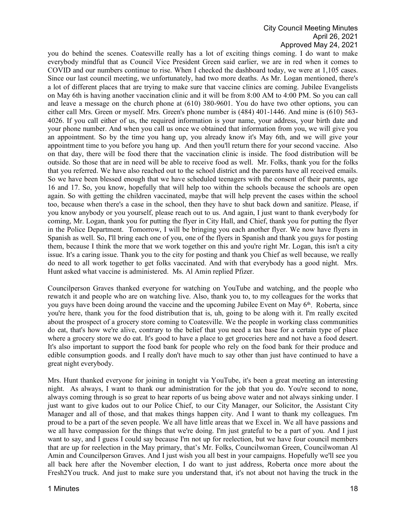you do behind the scenes. Coatesville really has a lot of exciting things coming. I do want to make everybody mindful that as Council Vice President Green said earlier, we are in red when it comes to COVID and our numbers continue to rise. When I checked the dashboard today, we were at 1,105 cases. Since our last council meeting, we unfortunately, had two more deaths. As Mr. Logan mentioned, there's a lot of different places that are trying to make sure that vaccine clinics are coming. Jubilee Evangelists on May 6th is having another vaccination clinic and it will be from 8:00 AM to 4:00 PM. So you can call and leave a message on the church phone at (610) 380-9601. You do have two other options, you can either call Mrs. Green or myself. Mrs. Green's phone number is (484) 401-1446. And mine is (610) 563- 4026. If you call either of us, the required information is your name, your address, your birth date and your phone number. And when you call us once we obtained that information from you, we will give you an appointment. So by the time you hang up, you already know it's May 6th, and we will give your appointment time to you before you hang up. And then you'll return there for your second vaccine. Also on that day, there will be food there that the vaccination clinic is inside. The food distribution will be outside. So those that are in need will be able to receive food as well. Mr. Folks, thank you for the folks that you referred. We have also reached out to the school district and the parents have all received emails. So we have been blessed enough that we have scheduled teenagers with the consent of their parents, age 16 and 17. So, you know, hopefully that will help too within the schools because the schools are open again. So with getting the children vaccinated, maybe that will help prevent the cases within the school too, because when there's a case in the school, then they have to shut back down and sanitize. Please, if you know anybody or you yourself, please reach out to us. And again, I just want to thank everybody for coming, Mr. Logan, thank you for putting the flyer in City Hall, and Chief, thank you for putting the flyer in the Police Department. Tomorrow, I will be bringing you each another flyer. We now have flyers in Spanish as well. So, I'll bring each one of you, one of the flyers in Spanish and thank you guys for posting them, because I think the more that we work together on this and you're right Mr. Logan, this isn't a city issue. It's a caring issue. Thank you to the city for posting and thank you Chief as well because, we really do need to all work together to get folks vaccinated. And with that everybody has a good night. Mrs. Hunt asked what vaccine is administered. Ms. Al Amin replied Pfizer.

Councilperson Graves thanked everyone for watching on YouTube and watching, and the people who rewatch it and people who are on watching live. Also, thank you to, to my colleagues for the works that you guys have been doing around the vaccine and the upcoming Jubilee Event on May  $6<sup>th</sup>$ . Roberta, since you're here, thank you for the food distribution that is, uh, going to be along with it. I'm really excited about the prospect of a grocery store coming to Coatesville. We the people in working class communities do eat, that's how we're alive, contrary to the belief that you need a tax base for a certain type of place where a grocery store we do eat. It's good to have a place to get groceries here and not have a food desert. It's also important to support the food bank for people who rely on the food bank for their produce and edible consumption goods. and I really don't have much to say other than just have continued to have a great night everybody.

Mrs. Hunt thanked everyone for joining in tonight via YouTube, it's been a great meeting an interesting night. As always, I want to thank our administration for the job that you do. You're second to none, always coming through is so great to hear reports of us being above water and not always sinking under. I just want to give kudos out to our Police Chief, to our City Manager, our Solicitor, the Assistant City Manager and all of those, and that makes things happen city. And I want to thank my colleagues. I'm proud to be a part of the seven people. We all have little areas that we Excel in. We all have passions and we all have compassion for the things that we're doing. I'm just grateful to be a part of you. And I just want to say, and I guess I could say because I'm not up for reelection, but we have four council members that are up for reelection in the May primary, that's Mr. Folks, Councilwoman Green, Councilwoman Al Amin and Councilperson Graves. And I just wish you all best in your campaigns. Hopefully we'll see you all back here after the November election, I do want to just address, Roberta once more about the Fresh2You truck. And just to make sure you understand that, it's not about not having the truck in the